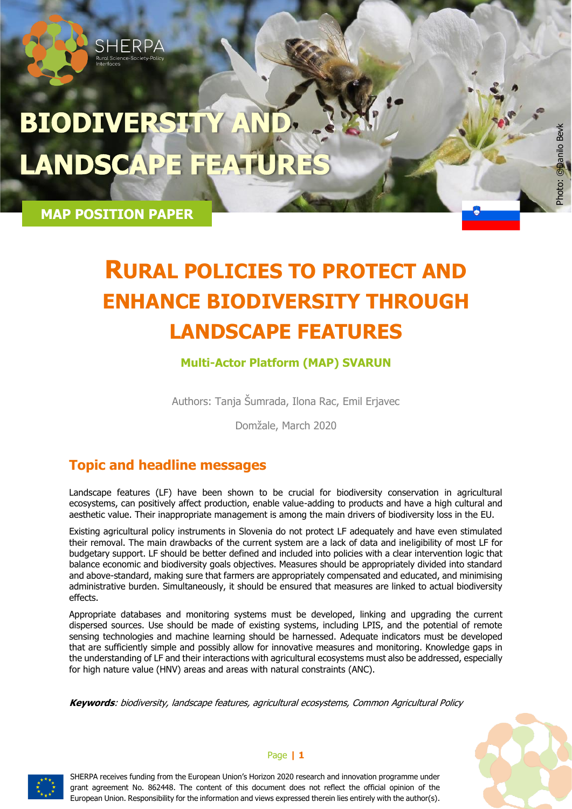# **BIODIVERSITY AN LANDSCAPE FEAT**

**MAP POSITION PAPER**

HERPA

# **RURAL POLICIES TO PROTECT AND ENHANCE BIODIVERSITY THROUGH LANDSCAPE FEATURES**

#### **Multi-Actor Platform (MAP) SVARUN**

Authors: Tanja Šumrada, Ilona Rac, Emil Erjavec

Domžale, March 2020

### **Topic and headline messages**

Landscape features (LF) have been shown to be crucial for biodiversity conservation in agricultural ecosystems, can positively affect production, enable value-adding to products and have a high cultural and aesthetic value. Their inappropriate management is among the main drivers of biodiversity loss in the EU.

Existing agricultural policy instruments in Slovenia do not protect LF adequately and have even stimulated their removal. The main drawbacks of the current system are a lack of data and ineligibility of most LF for budgetary support. LF should be better defined and included into policies with a clear intervention logic that balance economic and biodiversity goals objectives. Measures should be appropriately divided into standard and above-standard, making sure that farmers are appropriately compensated and educated, and minimising administrative burden. Simultaneously, it should be ensured that measures are linked to actual biodiversity effects.

Appropriate databases and monitoring systems must be developed, linking and upgrading the current dispersed sources. Use should be made of existing systems, including LPIS, and the potential of remote sensing technologies and machine learning should be harnessed. Adequate indicators must be developed that are sufficiently simple and possibly allow for innovative measures and monitoring. Knowledge gaps in the understanding of LF and their interactions with agricultural ecosystems must also be addressed, especially for high nature value (HNV) areas and areas with natural constraints (ANC).

**Keywords**: biodiversity, landscape features, agricultural ecosystems, Common Agricultural Policy



Photo: © Danilo Bevk

Photo: Chanilo Bevk



#### Page **| 1**

SHERPA receives funding from the European Union's Horizon 2020 research and innovation programme under grant agreement No. 862448. The content of this document does not reflect the official opinion of the European Union. Responsibility for the information and views expressed therein lies entirely with the author(s).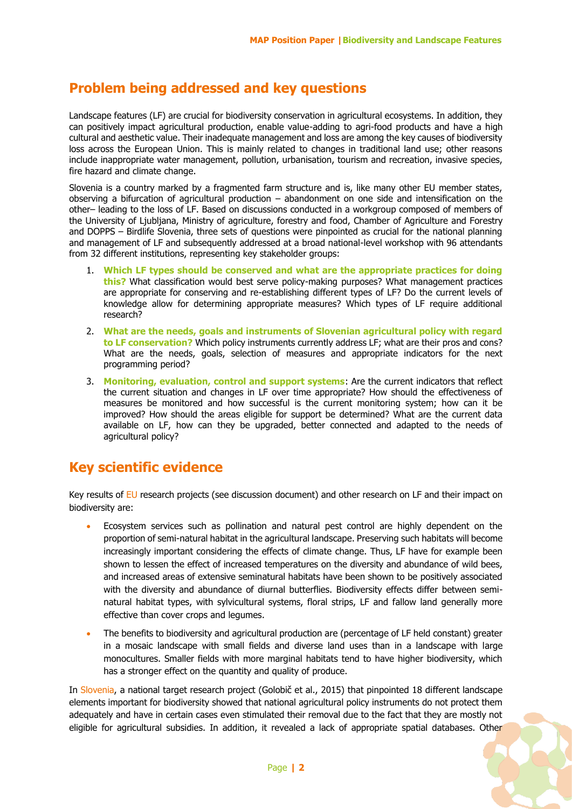#### **Problem being addressed and key questions**

Landscape features (LF) are crucial for biodiversity conservation in agricultural ecosystems. In addition, they can positively impact agricultural production, enable value-adding to agri-food products and have a high cultural and aesthetic value. Their inadequate management and loss are among the key causes of biodiversity loss across the European Union. This is mainly related to changes in traditional land use; other reasons include inappropriate water management, pollution, urbanisation, tourism and recreation, invasive species, fire hazard and climate change.

Slovenia is a country marked by a fragmented farm structure and is, like many other EU member states, observing a bifurcation of agricultural production – abandonment on one side and intensification on the other– leading to the loss of LF. Based on discussions conducted in a workgroup composed of members of the University of Ljubljana, Ministry of agriculture, forestry and food, Chamber of Agriculture and Forestry and DOPPS – Birdlife Slovenia, three sets of questions were pinpointed as crucial for the national planning and management of LF and subsequently addressed at a broad national-level workshop with 96 attendants from 32 different institutions, representing key stakeholder groups:

- 1. **Which LF types should be conserved and what are the appropriate practices for doing this?** What classification would best serve policy-making purposes? What management practices are appropriate for conserving and re-establishing different types of LF? Do the current levels of knowledge allow for determining appropriate measures? Which types of LF require additional research?
- 2. **What are the needs, goals and instruments of Slovenian agricultural policy with regard to LF conservation?** Which policy instruments currently address LF; what are their pros and cons? What are the needs, goals, selection of measures and appropriate indicators for the next programming period?
- 3. **Monitoring, evaluation, control and support systems**: Are the current indicators that reflect the current situation and changes in LF over time appropriate? How should the effectiveness of measures be monitored and how successful is the current monitoring system; how can it be improved? How should the areas eligible for support be determined? What are the current data available on LF, how can they be upgraded, better connected and adapted to the needs of agricultural policy?

#### **Key scientific evidence**

Key results of EU research projects (see discussion document) and other research on LF and their impact on biodiversity are:

- Ecosystem services such as pollination and natural pest control are highly dependent on the proportion of semi-natural habitat in the agricultural landscape. Preserving such habitats will become increasingly important considering the effects of climate change. Thus, LF have for example been shown to lessen the effect of increased temperatures on the diversity and abundance of wild bees, and increased areas of extensive seminatural habitats have been shown to be positively associated with the diversity and abundance of diurnal butterflies. Biodiversity effects differ between seminatural habitat types, with sylvicultural systems, floral strips, LF and fallow land generally more effective than cover crops and legumes.
- The benefits to biodiversity and agricultural production are (percentage of LF held constant) greater in a mosaic landscape with small fields and diverse land uses than in a landscape with large monocultures. Smaller fields with more marginal habitats tend to have higher biodiversity, which has a stronger effect on the quantity and quality of produce.

In Slovenia, a national target research project (Golobič et al., 2015) that pinpointed 18 different landscape elements important for biodiversity showed that national agricultural policy instruments do not protect them adequately and have in certain cases even stimulated their removal due to the fact that they are mostly not eligible for agricultural subsidies. In addition, it revealed a lack of appropriate spatial databases. Other

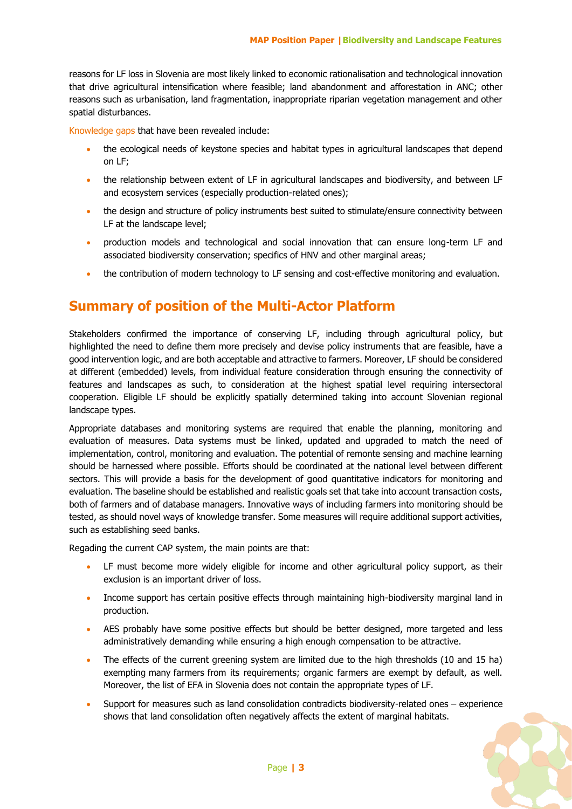reasons for LF loss in Slovenia are most likely linked to economic rationalisation and technological innovation that drive agricultural intensification where feasible; land abandonment and afforestation in ANC; other reasons such as urbanisation, land fragmentation, inappropriate riparian vegetation management and other spatial disturbances.

Knowledge gaps that have been revealed include:

- the ecological needs of keystone species and habitat types in agricultural landscapes that depend on LF;
- the relationship between extent of LF in agricultural landscapes and biodiversity, and between LF and ecosystem services (especially production-related ones);
- the design and structure of policy instruments best suited to stimulate/ensure connectivity between LF at the landscape level;
- production models and technological and social innovation that can ensure long-term LF and associated biodiversity conservation; specifics of HNV and other marginal areas;
- the contribution of modern technology to LF sensing and cost-effective monitoring and evaluation.

#### **Summary of position of the Multi-Actor Platform**

Stakeholders confirmed the importance of conserving LF, including through agricultural policy, but highlighted the need to define them more precisely and devise policy instruments that are feasible, have a good intervention logic, and are both acceptable and attractive to farmers. Moreover, LF should be considered at different (embedded) levels, from individual feature consideration through ensuring the connectivity of features and landscapes as such, to consideration at the highest spatial level requiring intersectoral cooperation. Eligible LF should be explicitly spatially determined taking into account Slovenian regional landscape types.

Appropriate databases and monitoring systems are required that enable the planning, monitoring and evaluation of measures. Data systems must be linked, updated and upgraded to match the need of implementation, control, monitoring and evaluation. The potential of remonte sensing and machine learning should be harnessed where possible. Efforts should be coordinated at the national level between different sectors. This will provide a basis for the development of good quantitative indicators for monitoring and evaluation. The baseline should be established and realistic goals set that take into account transaction costs, both of farmers and of database managers. Innovative ways of including farmers into monitoring should be tested, as should novel ways of knowledge transfer. Some measures will require additional support activities, such as establishing seed banks.

Regading the current CAP system, the main points are that:

- LF must become more widely eligible for income and other agricultural policy support, as their exclusion is an important driver of loss.
- Income support has certain positive effects through maintaining high-biodiversity marginal land in production.
- AES probably have some positive effects but should be better designed, more targeted and less administratively demanding while ensuring a high enough compensation to be attractive.
- The effects of the current greening system are limited due to the high thresholds (10 and 15 ha) exempting many farmers from its requirements; organic farmers are exempt by default, as well. Moreover, the list of EFA in Slovenia does not contain the appropriate types of LF.
- Support for measures such as land consolidation contradicts biodiversity-related ones experience shows that land consolidation often negatively affects the extent of marginal habitats.

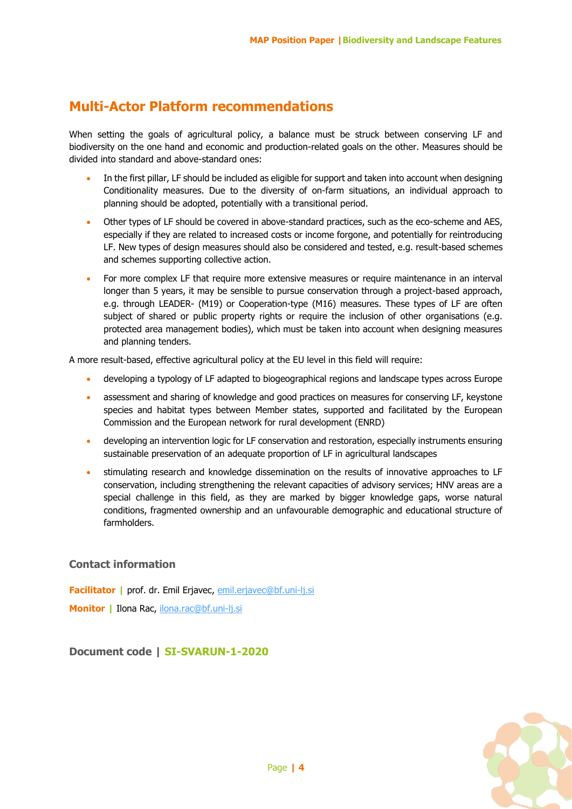#### **Multi-Actor Platform recommendations**

When setting the goals of agricultural policy, a balance must be struck between conserving LF and biodiversity on the one hand and economic and production-related goals on the other. Measures should be divided into standard and above-standard ones:

- In the first pillar, LF should be included as eligible for support and taken into account when designing Conditionality measures. Due to the diversity of on-farm situations, an individual approach to planning should be adopted, potentially with a transitional period.
- Other types of LF should be covered in above-standard practices, such as the eco-scheme and AES, especially if they are related to increased costs or income forgone, and potentially for reintroducing LF. New types of design measures should also be considered and tested, e.g. result-based schemes and schemes supporting collective action.
- For more complex LF that require more extensive measures or require maintenance in an interval longer than 5 years, it may be sensible to pursue conservation through a project-based approach, e.g. through LEADER- (M19) or Cooperation-type (M16) measures. These types of LF are often subject of shared or public property rights or require the inclusion of other organisations (e.g. protected area management bodies), which must be taken into account when designing measures and planning tenders.

A more result-based, effective agricultural policy at the EU level in this field will require:

- developing a typology of LF adapted to biogeographical regions and landscape types across Europe
- assessment and sharing of knowledge and good practices on measures for conserving LF, keystone species and habitat types between Member states, supported and facilitated by the European Commission and the European network for rural development (ENRD)
- developing an intervention logic for LF conservation and restoration, especially instruments ensuring sustainable preservation of an adequate proportion of LF in agricultural landscapes
- stimulating research and knowledge dissemination on the results of innovative approaches to LF conservation, including strengthening the relevant capacities of advisory services; HNV areas are a special challenge in this field, as they are marked by bigger knowledge gaps, worse natural conditions, fragmented ownership and an unfavourable demographic and educational structure of farmholders.

#### **Contact information**

**Facilitator |** prof. dr. Emil Erjavec, [emil.erjavec@bf.uni-lj.si](mailto:emil.erjavec@bf.uni-lj.si) **Monitor |** Ilona Rac, [ilona.rac@bf.uni-lj.si](mailto:ilona.rac@bf.uni-lj.si)

**Document code | SI-SVARUN-1-2020**

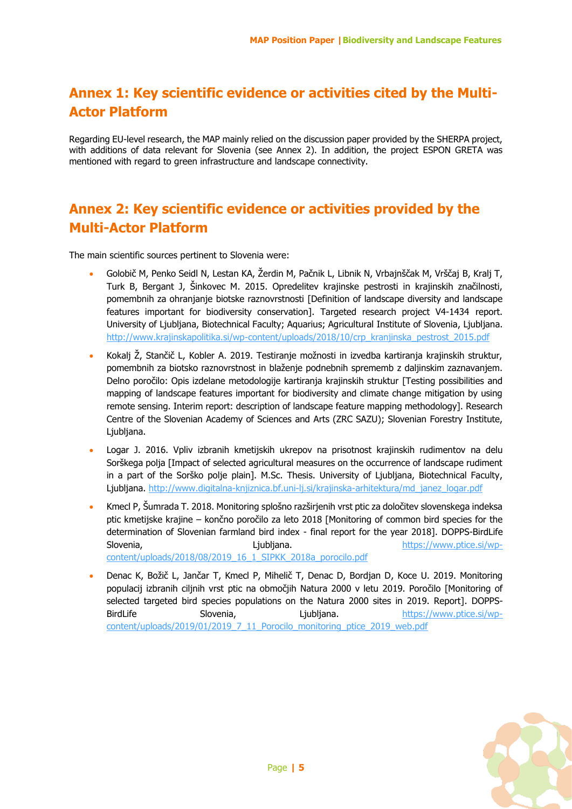#### **Annex 1: Key scientific evidence or activities cited by the Multi-Actor Platform**

Regarding EU-level research, the MAP mainly relied on the discussion paper provided by the SHERPA project, with additions of data relevant for Slovenia (see Annex 2). In addition, the project ESPON GRETA was mentioned with regard to green infrastructure and landscape connectivity.

#### **Annex 2: Key scientific evidence or activities provided by the Multi-Actor Platform**

The main scientific sources pertinent to Slovenia were:

- Golobič M, Penko Seidl N, Lestan KA, Žerdin M, Pačnik L, Libnik N, Vrbajnščak M, Vrščaj B, Kralj T, Turk B, Bergant J, Šinkovec M. 2015. Opredelitev krajinske pestrosti in krajinskih značilnosti, pomembnih za ohranjanje biotske raznovrstnosti [Definition of landscape diversity and landscape features important for biodiversity conservation]. Targeted research project V4-1434 report. University of Ljubljana, Biotechnical Faculty; Aquarius; Agricultural Institute of Slovenia, Ljubljana. [http://www.krajinskapolitika.si/wp-content/uploads/2018/10/crp\\_kranjinska\\_pestrost\\_2015.pdf](http://www.krajinskapolitika.si/wp-content/uploads/2018/10/crp_kranjinska_pestrost_2015.pdf)
- Kokalj Ž, Stančič L, Kobler A. 2019. Testiranje možnosti in izvedba kartiranja krajinskih struktur, pomembnih za biotsko raznovrstnost in blaženje podnebnih sprememb z daljinskim zaznavanjem. Delno poročilo: Opis izdelane metodologije kartiranja krajinskih struktur [Testing possibilities and mapping of landscape features important for biodiversity and climate change mitigation by using remote sensing. Interim report: description of landscape feature mapping methodology]. Research Centre of the Slovenian Academy of Sciences and Arts (ZRC SAZU); Slovenian Forestry Institute, Ljubljana.
- Logar J. 2016. Vpliv izbranih kmetijskih ukrepov na prisotnost krajinskih rudimentov na delu Sorškega polja [Impact of selected agricultural measures on the occurrence of landscape rudiment in a part of the Sorško polje plain]. M.Sc. Thesis. University of Ljubljana, Biotechnical Faculty, Ljubljana. [http://www.digitalna-knjiznica.bf.uni-lj.si/krajinska-arhitektura/md\\_janez\\_logar.pdf](http://www.digitalna-knjiznica.bf.uni-lj.si/krajinska-arhitektura/md_janez_logar.pdf)
- Kmecl P, Šumrada T. 2018. Monitoring splošno razširjenih vrst ptic za določitev slovenskega indeksa ptic kmetijske krajine – končno poročilo za leto 2018 [Monitoring of common bird species for the determination of Slovenian farmland bird index - final report for the year 2018]. DOPPS-BirdLife Slovenia, and the Liubliana. The Liubliana of the Liublian end of the Liublian end of the Liublian end of the Liublian end of the Liublian end of the Liublian end of the Liublian end of the Liublian end of the Liublian end [content/uploads/2018/08/2019\\_16\\_1\\_SIPKK\\_2018a\\_porocilo.pdf](https://www.ptice.si/wp-content/uploads/2018/08/2019_16_1_SIPKK_2018a_porocilo.pdf)
- Denac K, Božič L, Jančar T, Kmecl P, Mihelič T, Denac D, Bordjan D, Koce U. 2019. Monitoring populacij izbranih ciljnih vrst ptic na območjih Natura 2000 v letu 2019. Poročilo [Monitoring of selected targeted bird species populations on the Natura 2000 sites in 2019. Report]. DOPPSBirdLife Slovenia, Ljubljana. [https://www.ptice.si/wp](https://www.ptice.si/wp-content/uploads/2019/01/2019_7_11_Porocilo_monitoring_ptice_2019_web.pdf)[content/uploads/2019/01/2019\\_7\\_11\\_Porocilo\\_monitoring\\_ptice\\_2019\\_web.pdf](https://www.ptice.si/wp-content/uploads/2019/01/2019_7_11_Porocilo_monitoring_ptice_2019_web.pdf)